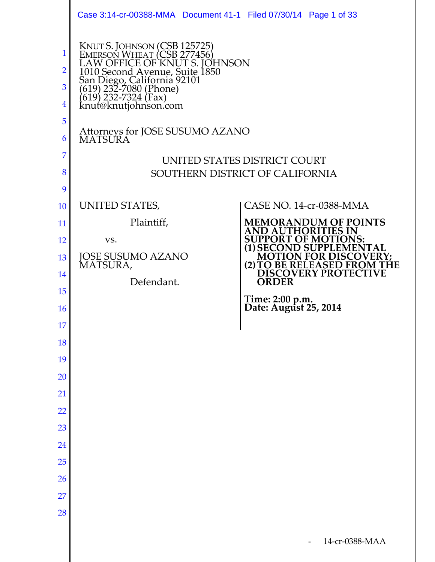|                               | Case 3:14-cr-00388-MMA  Document 41-1  Filed 07/30/14  Page 1 of 33                                                                                                                                                                    |                                                                 |
|-------------------------------|----------------------------------------------------------------------------------------------------------------------------------------------------------------------------------------------------------------------------------------|-----------------------------------------------------------------|
| 1<br>2<br>3<br>$\overline{4}$ | KNUT S. JOHNSON (CSB 125725)<br>EMERSON WHEAT (CSB 277456)<br>LAW OFFICE OF KNUT S. JOHNSON<br>1010 Second Avenue, Suite 1850<br>San Diego, California 92101<br>(619) 232-7080 (Phone)<br>(619) 232-7324 (Fax)<br>knut@knutjohnson.com |                                                                 |
| 5<br>6                        | Attorneys for JOSE SUSUMO AZANO<br><b>MATSURA</b>                                                                                                                                                                                      |                                                                 |
| 7<br>8<br>9                   |                                                                                                                                                                                                                                        | UNITED STATES DISTRICT COURT<br>SOUTHERN DISTRICT OF CALIFORNIA |
| 10                            | UNITED STATES,                                                                                                                                                                                                                         | <b>CASE NO. 14-cr-0388-MMA</b>                                  |
| 11                            | Plaintiff,                                                                                                                                                                                                                             | <b>MEMORANDUM OF POINTS</b><br>AND AUTHORITIES IN               |
| 12                            | VS.                                                                                                                                                                                                                                    | <b>SUPPORT OF MOT</b><br><b>(1) SECON</b><br><b>D SUPPLEME</b>  |
| 13                            | <b>JOSE SUSUMO AZANO</b><br>MATSURA,                                                                                                                                                                                                   | <b>MOTION FOR DISCO</b><br>(2) TO BE RELEASED FRO               |
| 14                            | Defendant.                                                                                                                                                                                                                             | <b>DISCOVERY PROTECTIVE</b><br><b>ORDER</b>                     |
| 15                            |                                                                                                                                                                                                                                        | Time: 2:00 p.m.<br>Date: August 25, 2014                        |
| <b>16</b><br>17               |                                                                                                                                                                                                                                        |                                                                 |
| 18                            |                                                                                                                                                                                                                                        |                                                                 |
| 19                            |                                                                                                                                                                                                                                        |                                                                 |
| 20                            |                                                                                                                                                                                                                                        |                                                                 |
| 21                            |                                                                                                                                                                                                                                        |                                                                 |
| 22                            |                                                                                                                                                                                                                                        |                                                                 |
| 23                            |                                                                                                                                                                                                                                        |                                                                 |
| 24                            |                                                                                                                                                                                                                                        |                                                                 |
| 25                            |                                                                                                                                                                                                                                        |                                                                 |
| 26                            |                                                                                                                                                                                                                                        |                                                                 |
| 27                            |                                                                                                                                                                                                                                        |                                                                 |
| 28                            |                                                                                                                                                                                                                                        |                                                                 |
|                               |                                                                                                                                                                                                                                        | 14-cr-0388-MAA                                                  |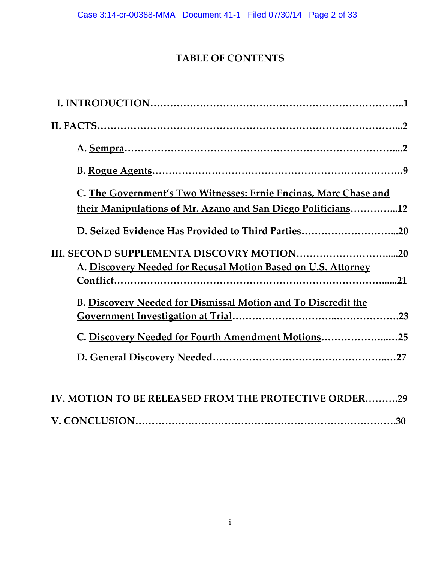# **TABLE OF CONTENTS**

| C. The Government's Two Witnesses: Ernie Encinas, Marc Chase and     |
|----------------------------------------------------------------------|
| their Manipulations of Mr. Azano and San Diego Politicians12         |
| D. Seized Evidence Has Provided to Third Parties20                   |
|                                                                      |
| A. Discovery Needed for Recusal Motion Based on U.S. Attorney        |
|                                                                      |
| <b>B. Discovery Needed for Dismissal Motion and To Discredit the</b> |
|                                                                      |
| C. Discovery Needed for Fourth Amendment Motions25                   |
|                                                                      |
|                                                                      |
| IV. MOTION TO BE RELEASED FROM THE PROTECTIVE ORDER29                |

**V. CONCLUSION…………………………………………………………………….30**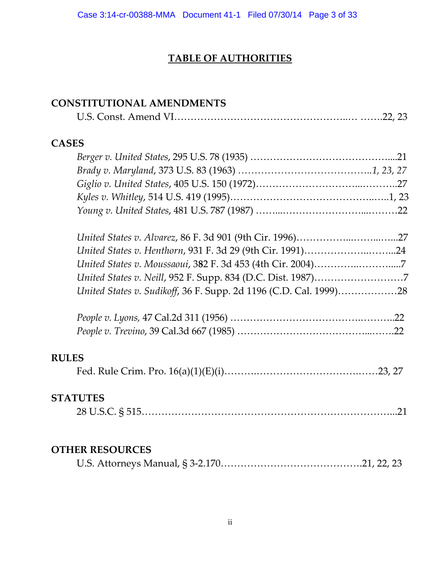# **TABLE OF AUTHORITIES**

#### **CONSTITUTIONAL AMENDMENTS**

|--|--|--|--|

#### **CASES**

| United States v. Sudikoff, 36 F. Supp. 2d 1196 (C.D. Cal. 1999)28 |  |
|-------------------------------------------------------------------|--|

#### **RULES**

|--|--|--|--|

#### **STATUTES**

|--|--|

#### **OTHER RESOURCES**

|--|--|--|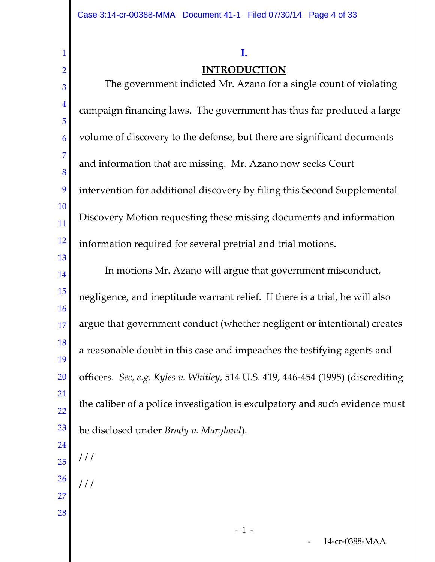#### **I.**

#### **INTRODUCTION**

2 3 4 5 6 7 8 9 10 11 12 13 14 15 16 17 18 19 20 21  $22$ 23 24 25 26 The government indicted Mr. Azano for a single count of violating campaign financing laws. The government has thus far produced a large volume of discovery to the defense, but there are significant documents and information that are missing. Mr. Azano now seeks Court intervention for additional discovery by filing this Second Supplemental Discovery Motion requesting these missing documents and information information required for several pretrial and trial motions. In motions Mr. Azano will argue that government misconduct, negligence, and ineptitude warrant relief. If there is a trial, he will also argue that government conduct (whether negligent or intentional) creates a reasonable doubt in this case and impeaches the testifying agents and officers. *See, e.g*. *Kyles v. Whitley,* 514 U.S. 419, 446-454 (1995) (discrediting the caliber of a police investigation is exculpatory and such evidence must be disclosed under *Brady v. Maryland*).  $//$  $/$  /  $/$ 

27 28

1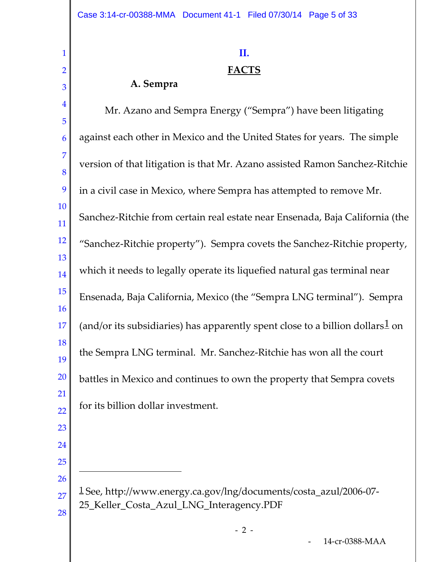#### **II.**

### **FACTS**

## **A. Sempra**

 Mr. Azano and Sempra Energy ("Sempra") have been litigating against each other in Mexico and the United States for years. The simple version of that litigation is that Mr. Azano assisted Ramon Sanchez-Ritchie in a civil case in Mexico, where Sempra has attempted to remove Mr. Sanchez-Ritchie from certain real estate near Ensenada, Baja California (the "Sanchez-Ritchie property"). Sempra covets the Sanchez-Ritchie property, which it needs to legally operate its liquefied natural gas terminal near Ensenada, Baja California, Mexico (the "Sempra LNG terminal"). Sempra (and/or its subsidiaries) has apparently spent close to a billion dollars on the Sempra LNG terminal. Mr. Sanchez-Ritchie has won all the court battles in Mexico and continues to own the property that Sempra covets for its billion dollar investment.

 

 

Ĩ.

<span id="page-4-0"></span> See, http://www.energy.ca.gov/lng/documents/costa\_azul/2006-07- 25\_Keller\_Costa\_Azul\_LNG\_Interagency.PDF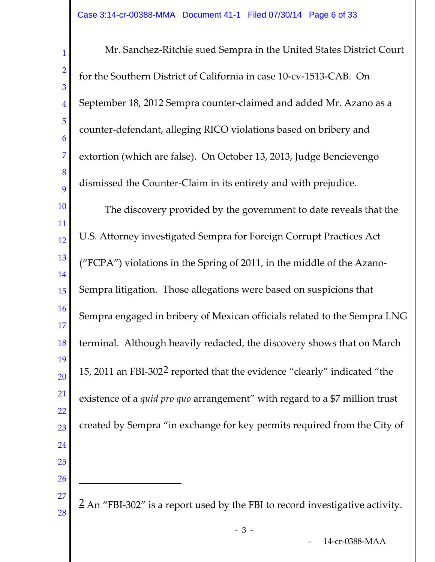<span id="page-5-0"></span>1 2 3 4 5 6 7 8  $\overline{Q}$ 10 11 12 13 14 15 16 17 18 19 20 21 22 23 24 25 26 27 28 Mr. Sanchez-Ritchie sued Sempra in the United States District Court for the Southern District of California in case 10-cv-1513-CAB. On September 18, 2012 Sempra counter-claimed and added Mr. Azano as a counter-defendant, alleging RICO violations based on bribery and extortion (which are false). On October 13, 2013, Judge Bencievengo dismissed the Counter-Claim in its entirety and with prejudice. The discovery provided by the government to date reveals that the U.S. Attorney investigated Sempra for Foreign Corrupt Practices Act ("FCPA") violations in the Spring of 2011, in the middle of the Azano-Sempra litigation. Those allegations were based on suspicions that Sempra engaged in bribery of Mexican officials related to the Sempra LNG terminal. Although heavily redacted, the discovery shows that on March 15, 2011 an FBI-302[2](#page-5-0) reported that the evidence "clearly" indicated "the existence of a *quid pro quo* arrangement" with regard to a \$7 million trust created by Sempra "in exchange for key permits required from the City of 2 An "FBI-302" is a report used by the FBI to record investigative activity. - - 3 ī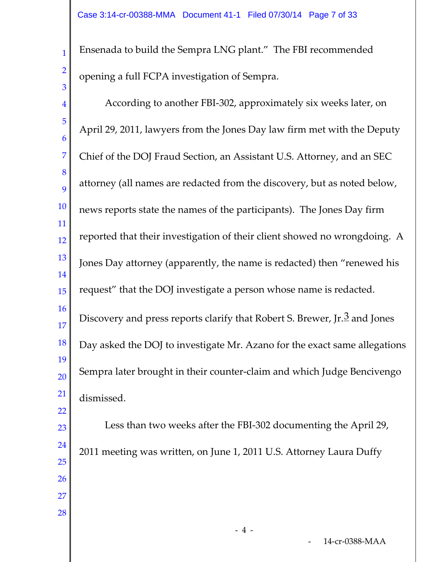Ensenada to build the Sempra LNG plant." The FBI recommended opening a full FCPA investigation of Sempra.

1

2

3

<span id="page-6-0"></span>4 5 6 7 8 9 10 11 12 13 14 15 16 17 18 19 20 21 22 23 24 25 26 27 28 According to another FBI-302, approximately six weeks later, on April 29, 2011, lawyers from the Jones Day law firm met with the Deputy Chief of the DOJ Fraud Section, an Assistant U.S. Attorney, and an SEC attorney (all names are redacted from the discovery, but as noted below, news reports state the names of the participants). The Jones Day firm reported that their investigation of their client showed no wrongdoing. A Jones Day attorney (apparently, the name is redacted) then "renewed his request" that the DOJ investigate a person whose name is redacted. Discovery and press reports clarify that Robert S. Brewer, Jr.<sup>[3](#page-6-0)</sup> and Jones Day asked the DOJ to investigate Mr. Azano for the exact same allegations Sempra later brought in their counter-claim and which Judge Bencivengo dismissed. Less than two weeks after the FBI-302 documenting the April 29, 2011 meeting was written, on June 1, 2011 U.S. Attorney Laura Duffy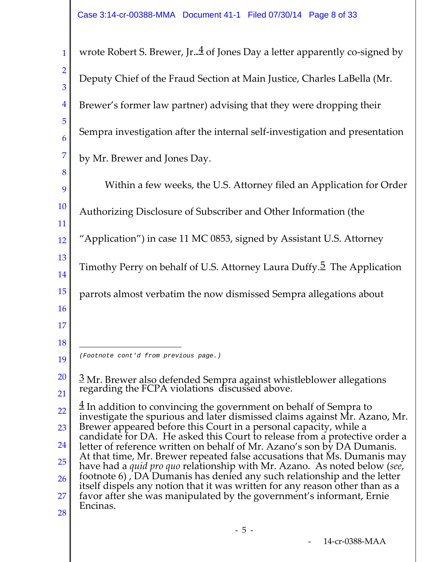<span id="page-7-1"></span><span id="page-7-0"></span>1 2 3 4 5 6 7 8 9 10 11 12 13 14 15 16 17 18 19 20 21 22 23 24 25 26 27 28 wrote Robert S. Brewer, Jr.  $\frac{4}{3}$  $\frac{4}{3}$  $\frac{4}{3}$  of Jones Day a letter apparently co-signed by Deputy Chief of the Fraud Section at Main Justice, Charles LaBella (Mr. Brewer's former law partner) advising that they were dropping their Sempra investigation after the internal self-investigation and presentation by Mr. Brewer and Jones Day. Within a few weeks, the U.S. Attorney filed an Application for Order Authorizing Disclosure of Subscriber and Other Information (the "Application") in case 11 MC 0853, signed by Assistant U.S. Attorney Timothy Perry on behalf of U.S. Attorney Laura Duffy.<sup>[5](#page-7-1)</sup> The Application parrots almost verbatim the now dismissed Sempra allegations about  $\frac{3}{2}$  Mr. Brewer also defended Sempra against whistleblower allegations regarding the FCPA violations discussed above.  $\frac{4}{3}$  In addition to convincing the government on behalf of Sempra to investigate the spurious and later dismissed claims against Mr. Azano, Mr. Brewer appeared before this Court in a personal capacity, while a candidate for DA. He asked this Court to release from a protective order a letter of reference written on behalf of Mr. Azano's son by DA Dumanis. At that time, Mr. Brewer repeated false accusations that Ms. Dumanis may have had a *quid pro quo* relationship with Mr. Azano. As noted below (*see*, footnote 6) , DA Dumanis has denied any such relationship and the letter itself dispels any notion that it was written for any reason other than as a favor after she was manipulated by the government's informant, Ernie Encinas. ī *(Footnote cont'd from previous page.)*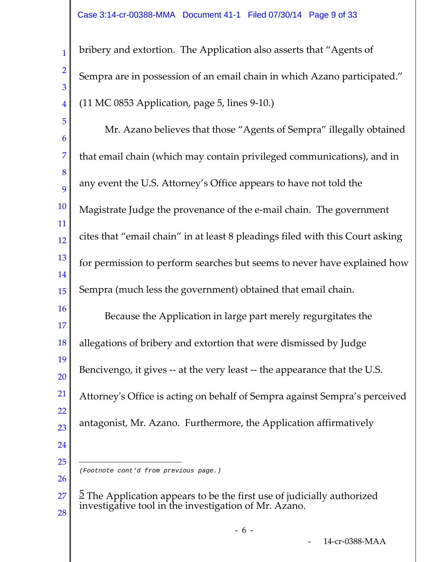2

3

4

bribery and extortion. The Application also asserts that "Agents of Sempra are in possession of an email chain in which Azano participated." (11 MC 0853 Application, page 5, lines 9-10.)

5 6 7 8 9 10 11 12 13 14 15 16 17 18 19 20 21 22 23 24 25 26 Mr. Azano believes that those "Agents of Sempra" illegally obtained that email chain (which may contain privileged communications), and in any event the U.S. Attorney's Office appears to have not told the Magistrate Judge the provenance of the e-mail chain. The government cites that "email chain" in at least 8 pleadings filed with this Court asking for permission to perform searches but seems to never have explained how Sempra (much less the government) obtained that email chain. Because the Application in large part merely regurgitates the allegations of bribery and extortion that were dismissed by Judge Bencivengo, it gives -- at the very least -- the appearance that the U.S. Attorney's Office is acting on behalf of Sempra against Sempra's perceived antagonist, Mr. Azano. Furthermore, the Application affirmatively Ĩ. *(Footnote cont'd from previous page.)*

<sup>27</sup> 28  $\frac{5}{2}$  The Application appears to be the first use of judicially authorized investigative tool in the investigation of Mr. Azano.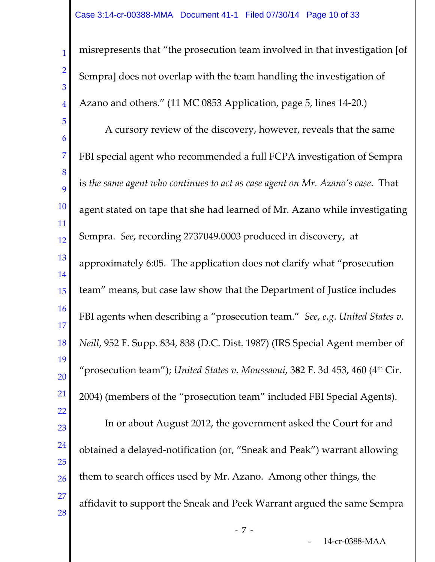1 2 3 4 5 6 7 8 9 10 11 12 13 14 15 16 17 18 19 20 21 22 23 24 25 26 27 28 misrepresents that "the prosecution team involved in that investigation [of Sempra] does not overlap with the team handling the investigation of Azano and others." (11 MC 0853 Application, page 5, lines 14-20.) A cursory review of the discovery, however, reveals that the same FBI special agent who recommended a full FCPA investigation of Sempra is *the same agent who continues to act as case agent on Mr. Azano's case*. That agent stated on tape that she had learned of Mr. Azano while investigating Sempra. *See*, recording 2737049.0003 produced in discovery, at approximately 6:05. The application does not clarify what "prosecution team" means, but case law show that the Department of Justice includes FBI agents when describing a "prosecution team." *See*, *e.g*. *United States v. Neill*, 952 F. Supp. 834, 838 (D.C. Dist. 1987) (IRS Special Agent member of "prosecution team"); *United States v. Moussaoui*, 3**8**2 F. 3d 453, 460 (4th Cir. 2004) (members of the "prosecution team" included FBI Special Agents). In or about August 2012, the government asked the Court for and obtained a delayed-notification (or, "Sneak and Peak") warrant allowing them to search offices used by Mr. Azano. Among other things, the affidavit to support the Sneak and Peek Warrant argued the same Sempra

- - 7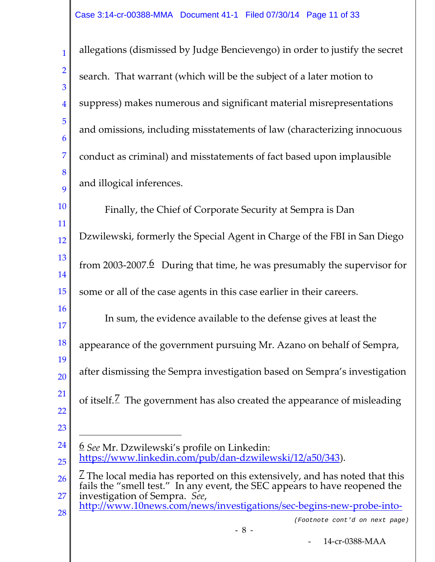1 2 3 4 5 6 7 8 9 allegations (dismissed by Judge Bencievengo) in order to justify the secret search. That warrant (which will be the subject of a later motion to suppress) makes numerous and significant material misrepresentations and omissions, including misstatements of law (characterizing innocuous conduct as criminal) and misstatements of fact based upon implausible and illogical inferences.

10 11 12 13 14 15 16 17 18 19 20 21 22 23 24 Finally, the Chief of Corporate Security at Sempra is Dan Dzwilewski, formerly the Special Agent in Charge of the FBI in San Diego from 2003-2007. $\frac{6}{5}$  $\frac{6}{5}$  $\frac{6}{5}$  During that time, he was presumably the supervisor for some or all of the case agents in this case earlier in their careers. In sum, the evidence available to the defense gives at least the appearance of the government pursuing Mr. Azano on behalf of Sempra, after dismissing the Sempra investigation based on Sempra's investigation of itself.<sup> $\mathbb Z$ </sup> The government has also created the appearance of misleading 6 *See* Mr. Dzwilewski's profile on Linkedin: Ĩ.

<span id="page-10-0"></span><sup>25</sup> [https://www.linkedin.com/pub/dan-dzwilewski/12/a50/343\)](https://www.linkedin.com/pub/dan-dzwilewski/12/a50/343).

<span id="page-10-1"></span><sup>26</sup> 27  $\angle$  The local media has reported on this extensively, and has noted that this fails the "smell test." In any event, the SEC appears to have reopened the investigation of Sempra. *See*,

<sup>28</sup> [http://www.10news.com/news/investigations/sec-begins-new-probe-into-](http://www.10news.com/news/investigations/sec-begins-new-probe-into-sempra-energy-over-bribery-allegations-031714)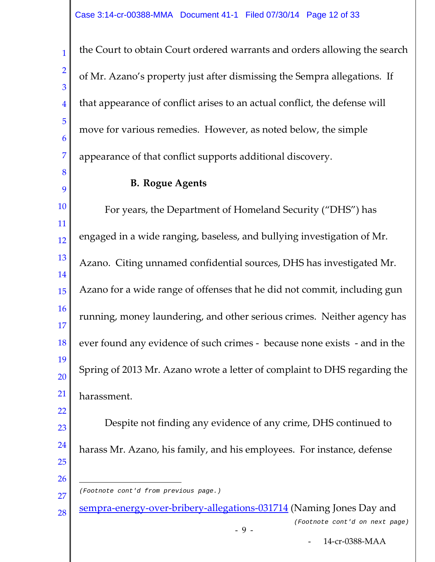the Court to obtain Court ordered warrants and orders allowing the search of Mr. Azano's property just after dismissing the Sempra allegations. If that appearance of conflict arises to an actual conflict, the defense will move for various remedies. However, as noted below, the simple appearance of that conflict supports additional discovery.

#### **B. Rogue Agents**

1

2

3

4

5

6

7

8

9

22

26

10 11 12 13 14 15 16 17 18 19 20 21 For years, the Department of Homeland Security ("DHS") has engaged in a wide ranging, baseless, and bullying investigation of Mr. Azano. Citing unnamed confidential sources, DHS has investigated Mr. Azano for a wide range of offenses that he did not commit, including gun running, money laundering, and other serious crimes. Neither agency has ever found any evidence of such crimes - because none exists - and in the Spring of 2013 Mr. Azano wrote a letter of complaint to DHS regarding the harassment.

23 24 25 Despite not finding any evidence of any crime, DHS continued to harass Mr. Azano, his family, and his employees. For instance, defense

28 [sempra-energy-over-bribery-allegations-031714](http://www.10news.com/news/investigations/sec-begins-new-probe-into-sempra-energy-over-bribery-allegations-031714) (Naming Jones Day and *(Footnote cont'd on next page)*

<sup>27</sup> Ĩ. *(Footnote cont'd from previous page.)*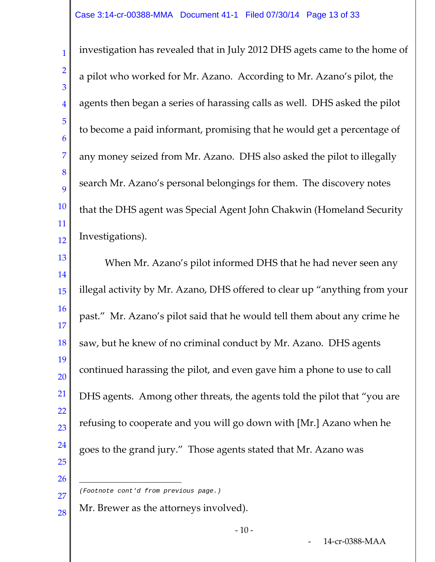1 4 5 7 8 12 investigation has revealed that in July 2012 DHS agets came to the home of a pilot who worked for Mr. Azano. According to Mr. Azano's pilot, the agents then began a series of harassing calls as well. DHS asked the pilot to become a paid informant, promising that he would get a percentage of any money seized from Mr. Azano. DHS also asked the pilot to illegally search Mr. Azano's personal belongings for them. The discovery notes that the DHS agent was Special Agent John Chakwin (Homeland Security Investigations).

13 14 15 16 17 18 19 20 21 22 23 24 25 When Mr. Azano's pilot informed DHS that he had never seen any illegal activity by Mr. Azano, DHS offered to clear up "anything from your past." Mr. Azano's pilot said that he would tell them about any crime he saw, but he knew of no criminal conduct by Mr. Azano. DHS agents continued harassing the pilot, and even gave him a phone to use to call DHS agents. Among other threats, the agents told the pilot that "you are refusing to cooperate and you will go down with [Mr.] Azano when he goes to the grand jury." Those agents stated that Mr. Azano was

26

27

28

2

3

6

9

10

11

Mr. Brewer as the attorneys involved).

ī *(Footnote cont'd from previous page.)*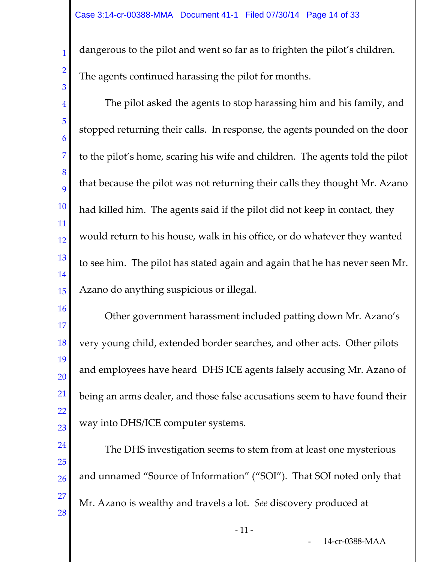2

3

dangerous to the pilot and went so far as to frighten the pilot's children. The agents continued harassing the pilot for months.

4 5 6 7 8 9 10 11 12 13 14 15 The pilot asked the agents to stop harassing him and his family, and stopped returning their calls. In response, the agents pounded on the door to the pilot's home, scaring his wife and children. The agents told the pilot that because the pilot was not returning their calls they thought Mr. Azano had killed him. The agents said if the pilot did not keep in contact, they would return to his house, walk in his office, or do whatever they wanted to see him. The pilot has stated again and again that he has never seen Mr. Azano do anything suspicious or illegal.

16 17 18 19 20 21 22 23 Other government harassment included patting down Mr. Azano's very young child, extended border searches, and other acts. Other pilots and employees have heard DHS ICE agents falsely accusing Mr. Azano of being an arms dealer, and those false accusations seem to have found their way into DHS/ICE computer systems.

24 25 26 27 28 The DHS investigation seems to stem from at least one mysterious and unnamed "Source of Information" ("SOI"). That SOI noted only that Mr. Azano is wealthy and travels a lot. *See* discovery produced at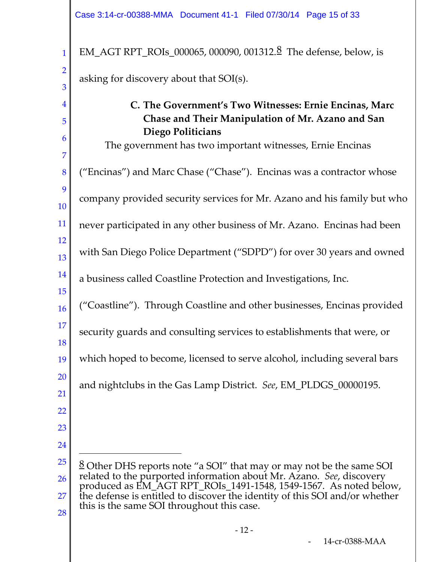1 2 3 4 5 6 EM\_AGT RPT\_ROIs\_000065, 000090, 001312.[8](#page-14-0) The defense, below, is asking for discovery about that SOI(s). **C. The Government's Two Witnesses: Ernie Encinas, Marc Chase and Their Manipulation of Mr. Azano and San Diego Politicians**

The government has two important witnesses, Ernie Encinas

8 9 10 11 12 ("Encinas") and Marc Chase ("Chase"). Encinas was a contractor whose company provided security services for Mr. Azano and his family but who never participated in any other business of Mr. Azano. Encinas had been

13 with San Diego Police Department ("SDPD") for over 30 years and owned

14 a business called Coastline Protection and Investigations, Inc.

16 ("Coastline"). Through Coastline and other businesses, Encinas provided

17 security guards and consulting services to establishments that were, or

19 which hoped to become, licensed to serve alcohol, including several bars

and nightclubs in the Gas Lamp District. *See*, EM\_PLDGS\_00000195.

23

15

18

20

21

22

7

24

Ĩ.

<span id="page-14-0"></span>25 26 27 28  $8$  Other DHS reports note "a SOI" that may or may not be the same SOI related to the purported information about Mr. Azano. *See*, discovery produced as EM\_AGT RPT\_ROIs\_1491-1548, 1549-1567. As noted below, the defense is entitled to discover the identity of this SOI and/or whether this is the same SOI throughout this case.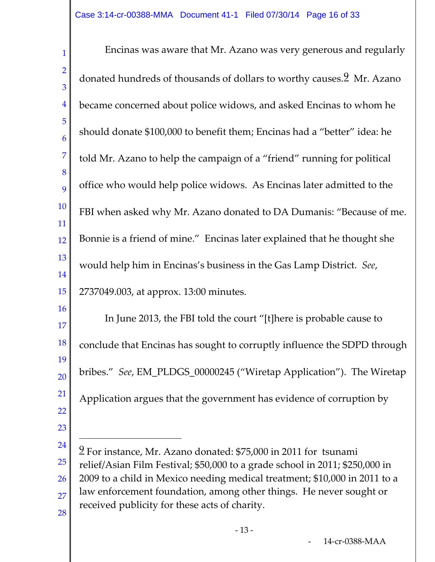1 2 3 4 5 6 7 8 9 10 11 12 13 14 15 16 17 18 19 20 21 22 23 Encinas was aware that Mr. Azano was very generous and regularly donated hundreds of thousands of dollars to worthy causes.<sup>[9](#page-15-0)</sup> Mr. Azano became concerned about police widows, and asked Encinas to whom he should donate \$100,000 to benefit them; Encinas had a "better" idea: he told Mr. Azano to help the campaign of a "friend" running for political office who would help police widows. As Encinas later admitted to the FBI when asked why Mr. Azano donated to DA Dumanis: "Because of me. Bonnie is a friend of mine." Encinas later explained that he thought she would help him in Encinas's business in the Gas Lamp District. *See*, 2737049.003, at approx. 13:00 minutes. In June 2013, the FBI told the court "[t]here is probable cause to conclude that Encinas has sought to corruptly influence the SDPD through bribes." *See*, EM\_PLDGS\_00000245 ("Wiretap Application"). The Wiretap Application argues that the government has evidence of corruption by

Ĩ.

<span id="page-15-0"></span><sup>24</sup> 25 26 27 28 9 For instance, Mr. Azano donated: \$75,000 in 2011 for tsunami relief/Asian Film Festival; \$50,000 to a grade school in 2011; \$250,000 in 2009 to a child in Mexico needing medical treatment; \$10,000 in 2011 to a law enforcement foundation, among other things. He never sought or received publicity for these acts of charity.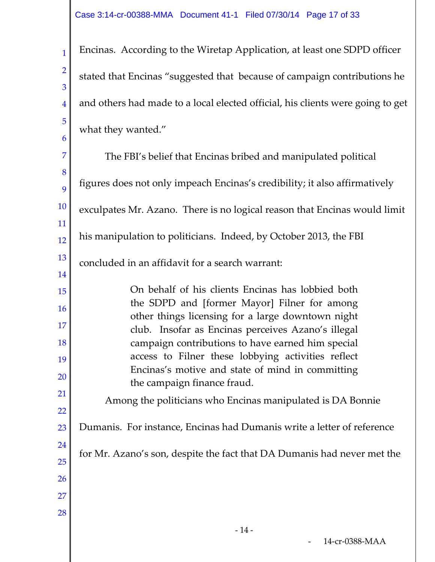2

3

4

5

6

Encinas. According to the Wiretap Application, at least one SDPD officer stated that Encinas "suggested that because of campaign contributions he and others had made to a local elected official, his clients were going to get what they wanted."

7 8 9 10 11 12 13 14 15 16 17 18 19 20 21 22 23 24 25 26 27 28 The FBI's belief that Encinas bribed and manipulated political figures does not only impeach Encinas's credibility; it also affirmatively exculpates Mr. Azano. There is no logical reason that Encinas would limit his manipulation to politicians. Indeed, by October 2013, the FBI concluded in an affidavit for a search warrant: On behalf of his clients Encinas has lobbied both the SDPD and [former Mayor] Filner for among other things licensing for a large downtown night club. Insofar as Encinas perceives Azano's illegal campaign contributions to have earned him special access to Filner these lobbying activities reflect Encinas's motive and state of mind in committing the campaign finance fraud. Among the politicians who Encinas manipulated is DA Bonnie Dumanis. For instance, Encinas had Dumanis write a letter of reference for Mr. Azano's son, despite the fact that DA Dumanis had never met the - 14 -14-cr-0388-MAA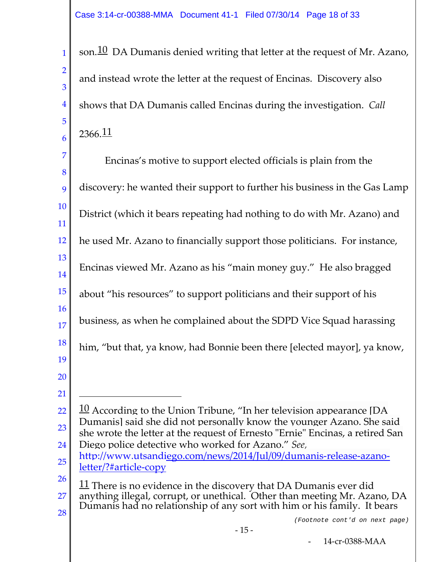3

6

1 4 5 son. $10$  DA Dumanis denied writing that letter at the request of Mr. Azano, and instead wrote the letter at the request of Encinas. Discovery also shows that DA Dumanis called Encinas during the investigation. *Call*  $2366.11$ 

<span id="page-17-1"></span><span id="page-17-0"></span>7 8 9 10 11 12 13 14 15 16 17 18 19 20 21 22 23 24 25 26 27 28 Encinas's motive to support elected officials is plain from the discovery: he wanted their support to further his business in the Gas Lamp District (which it bears repeating had nothing to do with Mr. Azano) and he used Mr. Azano to financially support those politicians. For instance, Encinas viewed Mr. Azano as his "main money guy." He also bragged about "his resources" to support politicians and their support of his business, as when he complained about the SDPD Vice Squad harassing him, "but that, ya know, had Bonnie been there [elected mayor], ya know,  $10$  According to the Union Tribune, "In her television appearance [DA Dumanis] said she did not personally know the younger Azano. She said she wrote the letter at the request of Ernesto "Ernie" Encinas, a retired San Diego police detective who worked for Azano." *See*, [http://www.utsandiego.com/news/2014/Jul/09/dumanis-release-azano](http://www.utsandiego.com/news/2014/Jul/09/dumanis-release-azano-letter/?%23article-copy)[letter/?#article-copy](http://www.utsandiego.com/news/2014/Jul/09/dumanis-release-azano-letter/?%23article-copy)  $11$  There is no evidence in the discovery that DA Dumanis ever did anything illegal, corrupt, or unethical. Other than meeting Mr. Azano, DA Dumanis had no relationship of any sort with him or his family. It bears ī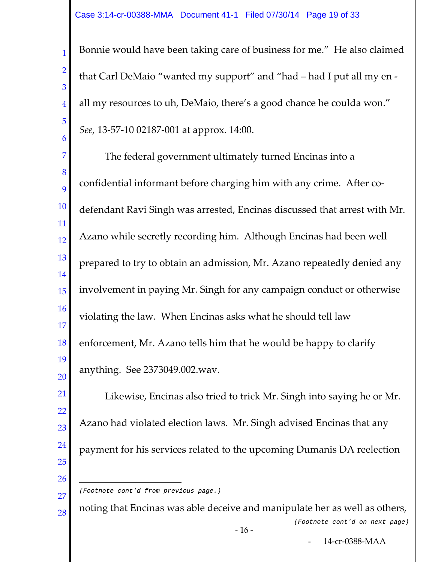2

3

4

5

6

Bonnie would have been taking care of business for me." He also claimed that Carl DeMaio "wanted my support" and "had – had I put all my en all my resources to uh, DeMaio, there's a good chance he coulda won." *See*, 13-57-10 02187-001 at approx. 14:00.

7 8 9 10 11 12 13 14 15 16 17 18 19 20 The federal government ultimately turned Encinas into a confidential informant before charging him with any crime. After codefendant Ravi Singh was arrested, Encinas discussed that arrest with Mr. Azano while secretly recording him. Although Encinas had been well prepared to try to obtain an admission, Mr. Azano repeatedly denied any involvement in paying Mr. Singh for any campaign conduct or otherwise violating the law. When Encinas asks what he should tell law enforcement, Mr. Azano tells him that he would be happy to clarify anything. See 2373049.002.wav.

21 22 23 24 25 26 Likewise, Encinas also tried to trick Mr. Singh into saying he or Mr. Azano had violated election laws. Mr. Singh advised Encinas that any payment for his services related to the upcoming Dumanis DA reelection

- 27 Ĩ. *(Footnote cont'd from previous page.)*
- 28 noting that Encinas was able deceive and manipulate her as well as others, *(Footnote cont'd on next page)*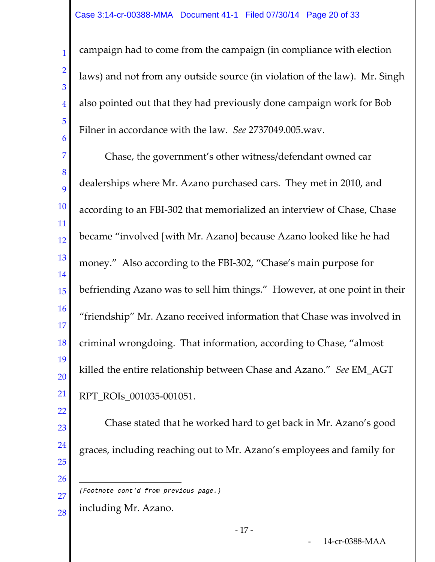campaign had to come from the campaign (in compliance with election laws) and not from any outside source (in violation of the law). Mr. Singh also pointed out that they had previously done campaign work for Bob Filner in accordance with the law. *See* 2737049.005.wav.

7 8 9 10 11 12 13 14 15 16 17 18 19 20 21 Chase, the government's other witness/defendant owned car dealerships where Mr. Azano purchased cars. They met in 2010, and according to an FBI-302 that memorialized an interview of Chase, Chase became "involved [with Mr. Azano] because Azano looked like he had money." Also according to the FBI-302, "Chase's main purpose for befriending Azano was to sell him things." However, at one point in their "friendship" Mr. Azano received information that Chase was involved in criminal wrongdoing. That information, according to Chase, "almost killed the entire relationship between Chase and Azano." *See* EM\_AGT RPT\_ROIs\_001035-001051.

23 24 25 26 Chase stated that he worked hard to get back in Mr. Azano's good graces, including reaching out to Mr. Azano's employees and family for Ĩ.

- *(Footnote cont'd from previous page.)*
- 28 including Mr. Azano.

1

2

3

4

5

6

22

27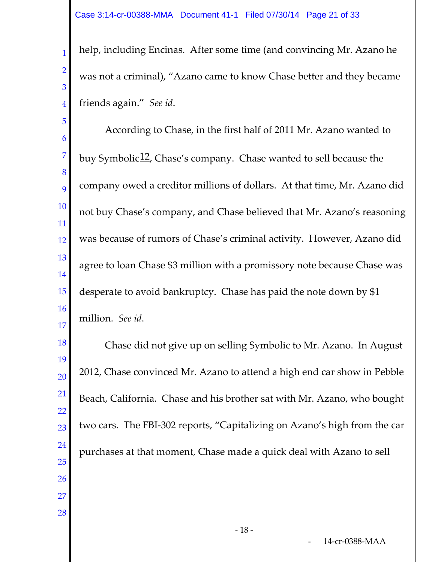2

3

4

help, including Encinas. After some time (and convincing Mr. Azano he was not a criminal), "Azano came to know Chase better and they became friends again." *See id*.

5 6 7 8 9 10 11 12 13 14 15 16 17 According to Chase, in the first half of 2011 Mr. Azano wanted to buy Symbolic<sup>12</sup>, Chase's company. Chase wanted to sell because the company owed a creditor millions of dollars. At that time, Mr. Azano did not buy Chase's company, and Chase believed that Mr. Azano's reasoning was because of rumors of Chase's criminal activity. However, Azano did agree to loan Chase \$3 million with a promissory note because Chase was desperate to avoid bankruptcy. Chase has paid the note down by \$1 million. *See id*.

<span id="page-20-0"></span>18 19 20 21 22 23 24 25 26 27 28 Chase did not give up on selling Symbolic to Mr. Azano. In August 2012, Chase convinced Mr. Azano to attend a high end car show in Pebble Beach, California. Chase and his brother sat with Mr. Azano, who bought two cars. The FBI-302 reports, "Capitalizing on Azano's high from the car purchases at that moment, Chase made a quick deal with Azano to sell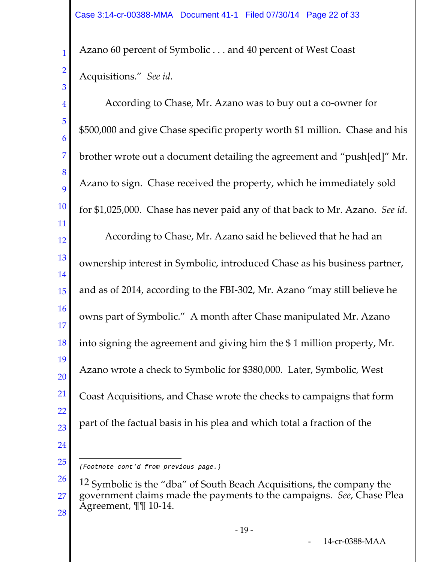Azano 60 percent of Symbolic . . . and 40 percent of West Coast Acquisitions." *See id*.

1

2

3

4 5 6 7 8 9 10 11 12 13 14 15 16 17 18 19 20 21 22 23 24 According to Chase, Mr. Azano was to buy out a co-owner for \$500,000 and give Chase specific property worth \$1 million. Chase and his brother wrote out a document detailing the agreement and "push[ed]" Mr. Azano to sign. Chase received the property, which he immediately sold for \$1,025,000. Chase has never paid any of that back to Mr. Azano. *See id*. According to Chase, Mr. Azano said he believed that he had an ownership interest in Symbolic, introduced Chase as his business partner, and as of 2014, according to the FBI-302, Mr. Azano "may still believe he owns part of Symbolic." A month after Chase manipulated Mr. Azano into signing the agreement and giving him the \$ 1 million property, Mr. Azano wrote a check to Symbolic for \$380,000. Later, Symbolic, West Coast Acquisitions, and Chase wrote the checks to campaigns that form part of the factual basis in his plea and which total a fraction of the

25 Ĩ. *(Footnote cont'd from previous page.)*

- 19 -

<sup>26</sup> 27 28  $12$  Symbolic is the "dba" of South Beach Acquisitions, the company the government claims made the payments to the campaigns. *See*, Chase Plea Agreement, ¶¶ 10-14.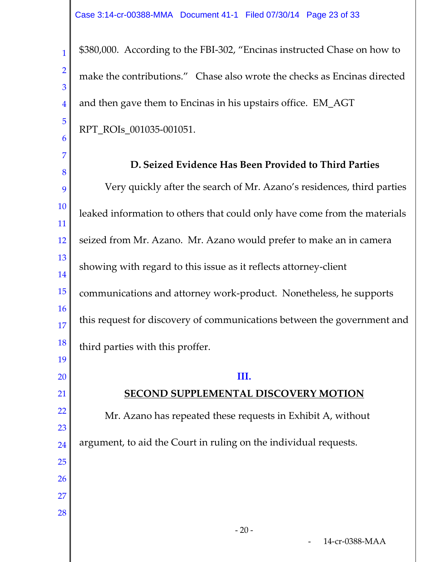2

3

4

5

6

\$380,000. According to the FBI-302, "Encinas instructed Chase on how to make the contributions." Chase also wrote the checks as Encinas directed and then gave them to Encinas in his upstairs office. EM\_AGT RPT\_ROIs\_001035-001051.

7 8 9 10 11 12 13 14 15 16 17 18 19 20 21 22 23 24 25 26 27 28 **D. Seized Evidence Has Been Provided to Third Parties** Very quickly after the search of Mr. Azano's residences, third parties leaked information to others that could only have come from the materials seized from Mr. Azano. Mr. Azano would prefer to make an in camera showing with regard to this issue as it reflects attorney-client communications and attorney work-product. Nonetheless, he supports this request for discovery of communications between the government and third parties with this proffer. **III. SECOND SUPPLEMENTAL DISCOVERY MOTION** Mr. Azano has repeated these requests in Exhibit A, without argument, to aid the Court in ruling on the individual requests.  $-20-$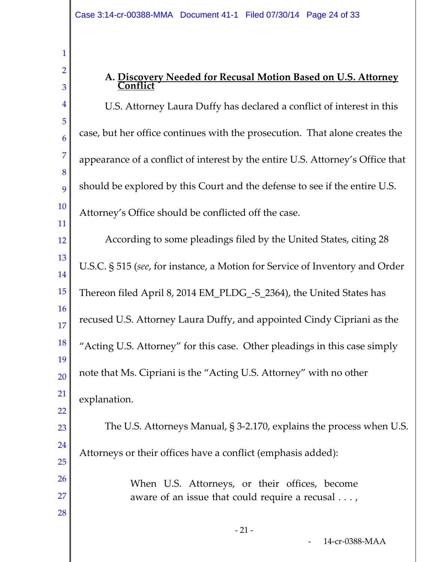2

3

22

26

27

28

# **A. Discovery Needed for Recusal Motion Based on U.S. Attorney Conflict**

4 5 6 7 8 9 10 11 12 U.S. Attorney Laura Duffy has declared a conflict of interest in this case, but her office continues with the prosecution. That alone creates the appearance of a conflict of interest by the entire U.S. Attorney's Office that should be explored by this Court and the defense to see if the entire U.S. Attorney's Office should be conflicted off the case. According to some pleadings filed by the United States, citing 28

13 14 15 16 17 18 19 20 21 U.S.C. § 515 (*see*, for instance, a Motion for Service of Inventory and Order Thereon filed April 8, 2014 EM\_PLDG\_-S\_2364), the United States has recused U.S. Attorney Laura Duffy, and appointed Cindy Cipriani as the "Acting U.S. Attorney" for this case. Other pleadings in this case simply note that Ms. Cipriani is the "Acting U.S. Attorney" with no other explanation.

23 24 25 The U.S. Attorneys Manual, § 3-2.170, explains the process when U.S. Attorneys or their offices have a conflict (emphasis added):

> When U.S. Attorneys, or their offices, become aware of an issue that could require a recusal . . . ,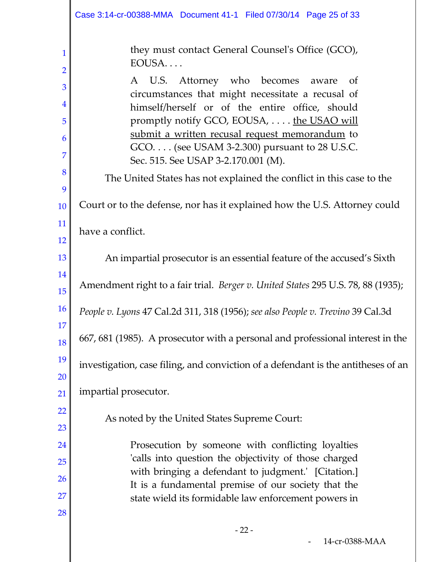|                                                                     | Case 3:14-cr-00388-MMA  Document 41-1  Filed 07/30/14  Page 25 of 33                                                                                                                                                                                                                                                                                                                                                                                                           |
|---------------------------------------------------------------------|--------------------------------------------------------------------------------------------------------------------------------------------------------------------------------------------------------------------------------------------------------------------------------------------------------------------------------------------------------------------------------------------------------------------------------------------------------------------------------|
| 1<br>$\overline{2}$<br>3<br>$\overline{4}$<br>5<br>6<br>7<br>8<br>9 | they must contact General Counsel's Office (GCO),<br>EOUSA<br>A U.S. Attorney who becomes aware<br>- of<br>circumstances that might necessitate a recusal of<br>himself/herself or of the entire office, should<br>promptly notify GCO, EOUSA, the USAO will<br>submit a written recusal request memorandum to<br>GCO. (see USAM 3-2.300) pursuant to 28 U.S.C.<br>Sec. 515. See USAP 3-2.170.001 (M).<br>The United States has not explained the conflict in this case to the |
| 10                                                                  | Court or to the defense, nor has it explained how the U.S. Attorney could                                                                                                                                                                                                                                                                                                                                                                                                      |
| 11<br>12                                                            | have a conflict.                                                                                                                                                                                                                                                                                                                                                                                                                                                               |
| 13                                                                  | An impartial prosecutor is an essential feature of the accused's Sixth                                                                                                                                                                                                                                                                                                                                                                                                         |
| 14<br>15                                                            | Amendment right to a fair trial. Berger v. United States 295 U.S. 78, 88 (1935);                                                                                                                                                                                                                                                                                                                                                                                               |
| <b>16</b>                                                           | People v. Lyons 47 Cal.2d 311, 318 (1956); see also People v. Trevino 39 Cal.3d                                                                                                                                                                                                                                                                                                                                                                                                |
| 17<br>18                                                            | 667, 681 (1985). A prosecutor with a personal and professional interest in the                                                                                                                                                                                                                                                                                                                                                                                                 |
| 19<br><b>20</b>                                                     | investigation, case filing, and conviction of a defendant is the antitheses of an                                                                                                                                                                                                                                                                                                                                                                                              |
| 21                                                                  | impartial prosecutor.                                                                                                                                                                                                                                                                                                                                                                                                                                                          |
| <u>22</u><br>23                                                     | As noted by the United States Supreme Court:                                                                                                                                                                                                                                                                                                                                                                                                                                   |
| 24<br>25                                                            | Prosecution by someone with conflicting loyalties<br>'calls into question the objectivity of those charged                                                                                                                                                                                                                                                                                                                                                                     |
| 26                                                                  | with bringing a defendant to judgment.' [Citation.]                                                                                                                                                                                                                                                                                                                                                                                                                            |
| 27                                                                  | It is a fundamental premise of our society that the<br>state wield its formidable law enforcement powers in                                                                                                                                                                                                                                                                                                                                                                    |
| 28                                                                  |                                                                                                                                                                                                                                                                                                                                                                                                                                                                                |
|                                                                     | $-22-$                                                                                                                                                                                                                                                                                                                                                                                                                                                                         |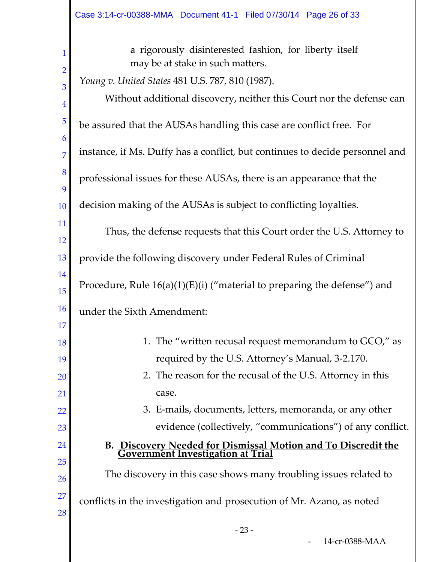| 1               | a rigorously disinterested fashion, for liberty itself<br>may be at stake in such matters.             |
|-----------------|--------------------------------------------------------------------------------------------------------|
| $\overline{2}$  | Young v. United States 481 U.S. 787, 810 (1987).                                                       |
| 3<br>4          | Without additional discovery, neither this Court nor the defense can                                   |
| $\overline{5}$  | be assured that the AUSAs handling this case are conflict free. For                                    |
| 6<br>7          | instance, if Ms. Duffy has a conflict, but continues to decide personnel and                           |
| 8<br>9          | professional issues for these AUSAs, there is an appearance that the                                   |
| 10              | decision making of the AUSAs is subject to conflicting loyalties.                                      |
| 11              | Thus, the defense requests that this Court order the U.S. Attorney to                                  |
| 12<br>13        | provide the following discovery under Federal Rules of Criminal                                        |
| 14              | Procedure, Rule $16(a)(1)(E)(i)$ ("material to preparing the defense") and                             |
| 15<br><b>16</b> |                                                                                                        |
| 17              | under the Sixth Amendment:                                                                             |
| 18              | 1. The "written recusal request memorandum to GCO," as                                                 |
| 19              | required by the U.S. Attorney's Manual, 3-2.170.                                                       |
| 20              | 2. The reason for the recusal of the U.S. Attorney in this                                             |
| 21              | case.                                                                                                  |
| 22              | 3. E-mails, documents, letters, memoranda, or any other                                                |
| 23              | evidence (collectively, "communications") of any conflict.                                             |
| 24              | <b>B. Discovery Needed for Dismissal Motion and To Discredit the Government Investigation at Trial</b> |
| 25              |                                                                                                        |
| 26              | The discovery in this case shows many troubling issues related to                                      |
| 27              | conflicts in the investigation and prosecution of Mr. Azano, as noted                                  |
| 28              |                                                                                                        |
|                 | $-23-$                                                                                                 |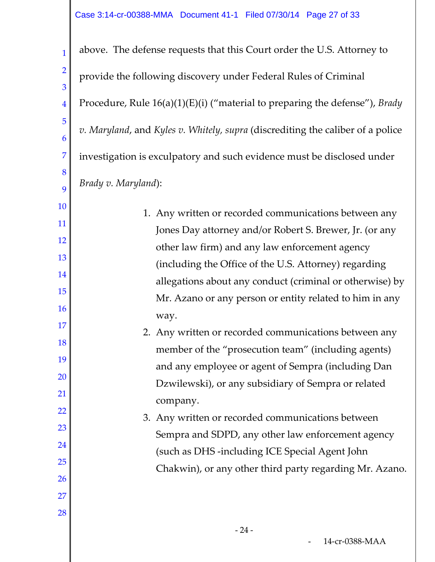2

3

4

5

6

7

8

9

10

11

12

13

14

15

16

17

18

19

20

21

22

23

24

25

26

27

28

above. The defense requests that this Court order the U.S. Attorney to provide the following discovery under Federal Rules of Criminal Procedure, Rule 16(a)(1)(E)(i) ("material to preparing the defense"), *Brady v. Maryland*, and *Kyles v. Whitely, supra* (discrediting the caliber of a police investigation is exculpatory and such evidence must be disclosed under *Brady v. Maryland*):

- 1. Any written or recorded communications between any Jones Day attorney and/or Robert S. Brewer, Jr. (or any other law firm) and any law enforcement agency (including the Office of the U.S. Attorney) regarding allegations about any conduct (criminal or otherwise) by Mr. Azano or any person or entity related to him in any way.
	- 2. Any written or recorded communications between any member of the "prosecution team" (including agents) and any employee or agent of Sempra (including Dan Dzwilewski), or any subsidiary of Sempra or related company.
	- 3. Any written or recorded communications between Sempra and SDPD, any other law enforcement agency (such as DHS -including ICE Special Agent John Chakwin), or any other third party regarding Mr. Azano.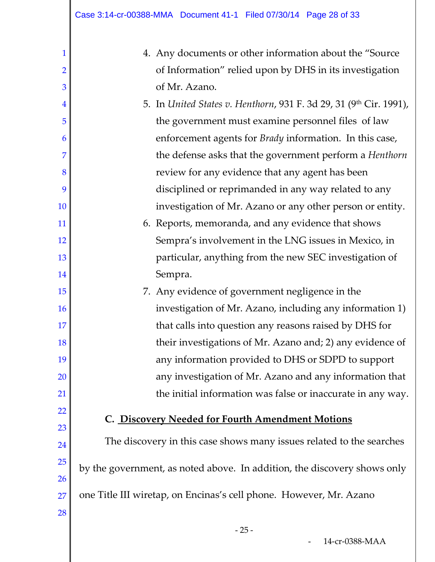| 1              | 4. Any documents or other information about the "Source                  |
|----------------|--------------------------------------------------------------------------|
| $\overline{2}$ | of Information" relied upon by DHS in its investigation                  |
| 3              | of Mr. Azano.                                                            |
| $\overline{4}$ | 5. In United States v. Henthorn, 931 F. 3d 29, 31 (9th Cir. 1991),       |
| 5              | the government must examine personnel files of law                       |
| 6              | enforcement agents for Brady information. In this case,                  |
| 7              | the defense asks that the government perform a Henthorn                  |
| 8              | review for any evidence that any agent has been                          |
| 9              | disciplined or reprimanded in any way related to any                     |
| <b>10</b>      | investigation of Mr. Azano or any other person or entity.                |
| 11             | 6. Reports, memoranda, and any evidence that shows                       |
| <b>12</b>      | Sempra's involvement in the LNG issues in Mexico, in                     |
| 13             | particular, anything from the new SEC investigation of                   |
| 14             | Sempra.                                                                  |
| 15             | 7. Any evidence of government negligence in the                          |
| <b>16</b>      | investigation of Mr. Azano, including any information 1)                 |
| 17             | that calls into question any reasons raised by DHS for                   |
| 18             | their investigations of Mr. Azano and; 2) any evidence of                |
| 19             | any information provided to DHS or SDPD to support                       |
| 20             | any investigation of Mr. Azano and any information that                  |
| 21             | the initial information was false or inaccurate in any way.              |
| 22             | C. Discovery Needed for Fourth Amendment Motions                         |
| 23             |                                                                          |
| 24             | The discovery in this case shows many issues related to the searches     |
| 25             | by the government, as noted above. In addition, the discovery shows only |
| 26             |                                                                          |
| 27             | one Title III wiretap, on Encinas's cell phone. However, Mr. Azano       |
| 28             |                                                                          |
|                |                                                                          |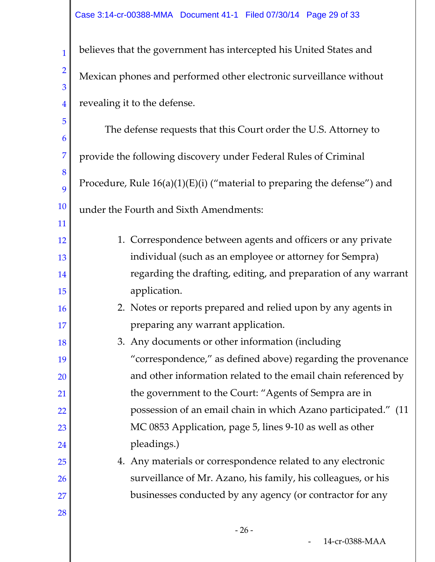1 2 3 4 believes that the government has intercepted his United States and Mexican phones and performed other electronic surveillance without revealing it to the defense.

5 6 7 8 9 10 11 12 13 14 15 16 17 18 19 20 21 22 23 24 25 26 27 The defense requests that this Court order the U.S. Attorney to provide the following discovery under Federal Rules of Criminal Procedure, Rule 16(a)(1)(E)(i) ("material to preparing the defense") and under the Fourth and Sixth Amendments: 1. Correspondence between agents and officers or any private individual (such as an employee or attorney for Sempra) regarding the drafting, editing, and preparation of any warrant application. 2. Notes or reports prepared and relied upon by any agents in preparing any warrant application. 3. Any documents or other information (including "correspondence," as defined above) regarding the provenance and other information related to the email chain referenced by the government to the Court: "Agents of Sempra are in possession of an email chain in which Azano participated." (11 MC 0853 Application, page 5, lines 9-10 as well as other pleadings.) 4. Any materials or correspondence related to any electronic surveillance of Mr. Azano, his family, his colleagues, or his businesses conducted by any agency (or contractor for any

28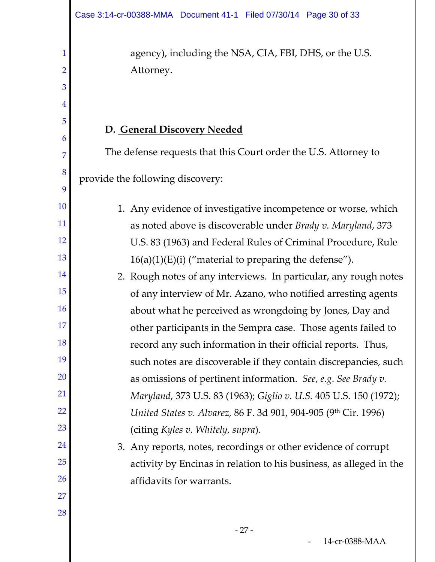agency), including the NSA, CIA, FBI, DHS, or the U.S. Attorney.

# **D. General Discovery Needed**

1

2

3

4

5

6

7

8

9

10

11

12

13

14

15

16

17

18

19

20

21

22

23

24

25

26

27

28

The defense requests that this Court order the U.S. Attorney to provide the following discovery:

1. Any evidence of investigative incompetence or worse, which as noted above is discoverable under *Brady v. Maryland*, 373 U.S. 83 (1963) and Federal Rules of Criminal Procedure, Rule  $16(a)(1)(E)(i)$  ("material to preparing the defense").

2. Rough notes of any interviews. In particular, any rough notes of any interview of Mr. Azano, who notified arresting agents about what he perceived as wrongdoing by Jones, Day and other participants in the Sempra case. Those agents failed to record any such information in their official reports. Thus, such notes are discoverable if they contain discrepancies, such as omissions of pertinent information. *See*, *e.g*. *See Brady v. Maryland*, 373 U.S. 83 (1963); *Giglio v. U.S.* 405 U.S. 150 (1972); *United States v. Alvarez, 86 F. 3d 901, 904-905 (9th Cir. 1996)* (citing *Kyles v. Whitely, supra*).

3. Any reports, notes, recordings or other evidence of corrupt activity by Encinas in relation to his business, as alleged in the affidavits for warrants.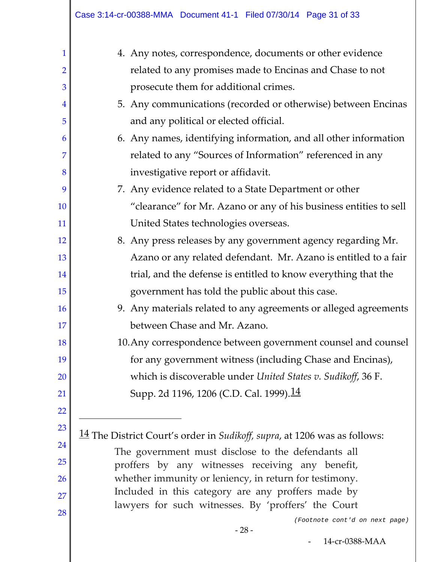| 1              | 4. Any notes, correspondence, documents or other evidence                 |  |  |
|----------------|---------------------------------------------------------------------------|--|--|
| $\overline{2}$ | related to any promises made to Encinas and Chase to not                  |  |  |
| 3              | prosecute them for additional crimes.                                     |  |  |
| $\overline{4}$ | 5. Any communications (recorded or otherwise) between Encinas             |  |  |
| 5              | and any political or elected official.                                    |  |  |
| 6              | 6. Any names, identifying information, and all other information          |  |  |
| 7              | related to any "Sources of Information" referenced in any                 |  |  |
| 8              | investigative report or affidavit.                                        |  |  |
| 9              | 7. Any evidence related to a State Department or other                    |  |  |
| 10             | "clearance" for Mr. Azano or any of his business entities to sell         |  |  |
| 11             | United States technologies overseas.                                      |  |  |
| 12             | 8. Any press releases by any government agency regarding Mr.              |  |  |
| 13             | Azano or any related defendant. Mr. Azano is entitled to a fair           |  |  |
| 14             | trial, and the defense is entitled to know everything that the            |  |  |
| 15             | government has told the public about this case.                           |  |  |
| 16             | 9. Any materials related to any agreements or alleged agreements          |  |  |
| 17             | between Chase and Mr. Azano.                                              |  |  |
| 18             | 10. Any correspondence between government counsel and counsel             |  |  |
| 19             | for any government witness (including Chase and Encinas),                 |  |  |
| <b>20</b>      | which is discoverable under United States v. Sudikoff, 36 F.              |  |  |
| <u>21</u>      | Supp. 2d 1196, 1206 (C.D. Cal. 1999). <sup>14</sup>                       |  |  |
| 22             |                                                                           |  |  |
| 23             | 14 The District Court's order in Sudikoff, supra, at 1206 was as follows: |  |  |
| 24             | The government must disclose to the defendants all                        |  |  |
| 25             | proffers by any witnesses receiving any benefit,                          |  |  |
| <b>26</b>      | whether immunity or leniency, in return for testimony.                    |  |  |
| 27             | Included in this category are any proffers made by                        |  |  |
| 28             | lawyers for such witnesses. By 'proffers' the Court                       |  |  |
|                | (Footnote cont'd on next page)<br>$-28-$                                  |  |  |
|                | 14-cr-0388-MAA                                                            |  |  |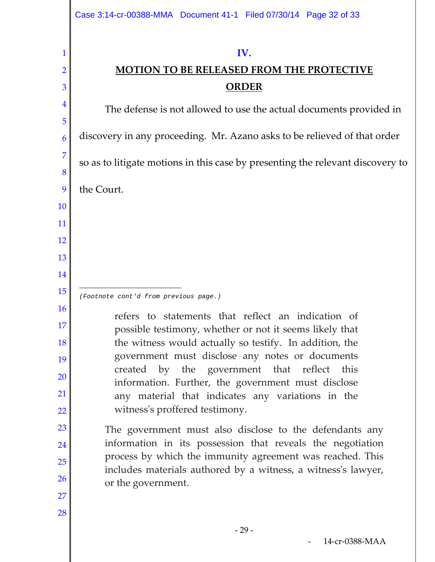2

3

4

5

6

7

8

9

10

11

12

13

14

15

16

17

18

19

20

21

22

23

24

25

26

27

28

# **MOTION TO BE RELEASED FROM THE PROTECTIVE ORDER**

The defense is not allowed to use the actual documents provided in discovery in any proceeding. Mr. Azano asks to be relieved of that order so as to litigate motions in this case by presenting the relevant discovery to the Court. refers to statements that reflect an indication of possible testimony, whether or not it seems likely that the witness would actually so testify. In addition, the government must disclose any notes or documents created by the government that reflect this information. Further, the government must disclose any material that indicates any variations in the witness's proffered testimony. The government must also disclose to the defendants any ī *(Footnote cont'd from previous page.)*

information in its possession that reveals the negotiation process by which the immunity agreement was reached. This includes materials authored by a witness, a witness's lawyer, or the government.